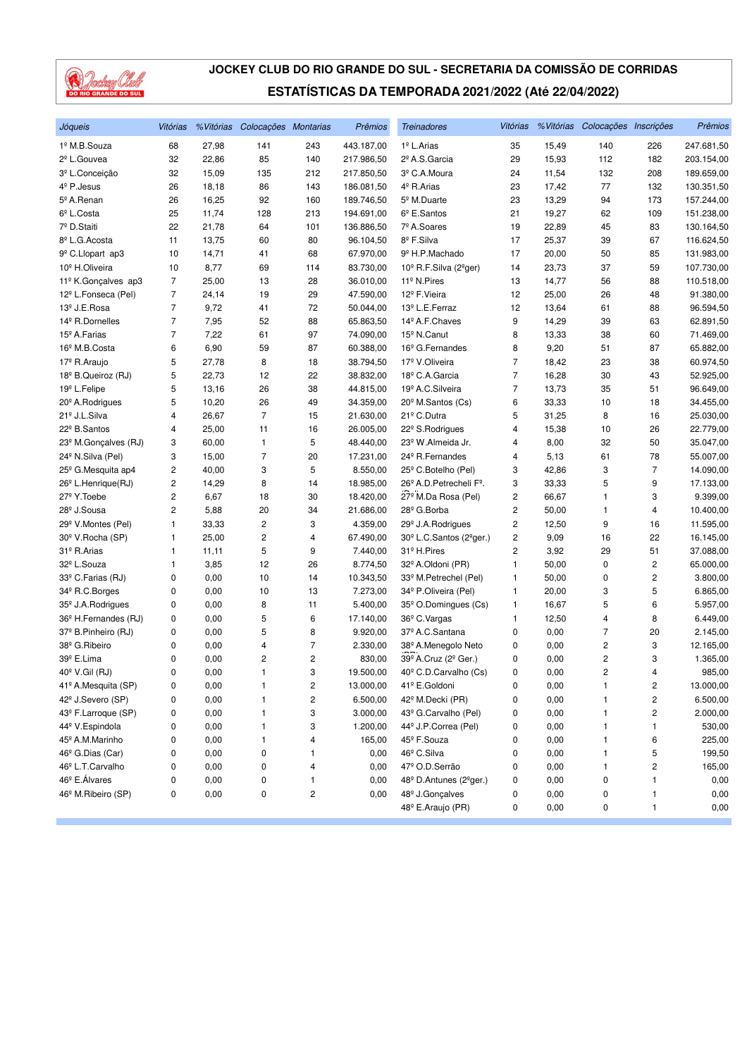

| Jóqueis                          | Vitórias                |       | % Vitórias Colocações Montarias |              | Prêmios    | <b>Treinadores</b>                               | Vitórias       |       | % Vitórias Colocações Inscrições |                | Prêmios    |
|----------------------------------|-------------------------|-------|---------------------------------|--------------|------------|--------------------------------------------------|----------------|-------|----------------------------------|----------------|------------|
| 1º M.B.Souza                     | 68                      | 27,98 | 141                             | 243          | 443.187,00 | 1 <sup>º</sup> L.Arias                           | 35             | 15,49 | 140                              | 226            | 247.681,50 |
| 2 <sup>º</sup> L.Gouvea          | 32                      | 22,86 | 85                              | 140          | 217.986,50 | 2º A.S.Garcia                                    | 29             | 15,93 | 112                              | 182            | 203.154,00 |
| 3º L.Conceição                   | 32                      | 15,09 | 135                             | 212          | 217.850,50 | 3º C.A.Moura                                     | 24             | 11,54 | 132                              | 208            | 189.659,00 |
| $4^{\circ}$ P. Jesus             | 26                      | 18,18 | 86                              | 143          | 186.081,50 | 4 <sup>º</sup> R.Arias                           | 23             | 17,42 | 77                               | 132            | 130.351,50 |
| 5º A.Renan                       | 26                      | 16,25 | 92                              | 160          | 189.746,50 | 5 <sup>°</sup> M.Duarte                          | 23             | 13,29 | 94                               | 173            | 157.244,00 |
| 6 <sup>°</sup> L.Costa           | 25                      | 11,74 | 128                             | 213          | 194.691,00 | $6^{\circ}$ E.Santos                             | 21             | 19,27 | 62                               | 109            | 151.238,00 |
| 7º D.Staiti                      | 22                      | 21,78 | 64                              | 101          | 136.886,50 | 7º A.Soares                                      | 19             | 22,89 | 45                               | 83             | 130.164,50 |
| 8º L.G. Acosta                   | 11                      | 13,75 | 60                              | 80           | 96.104,50  | 8º F.Silva                                       | 17             | 25,37 | 39                               | 67             | 116.624,50 |
| 9 <sup>º</sup> C.Llopart ap3     | 10                      | 14,71 | 41                              | 68           | 67.970,00  | 9º H.P.Machado                                   | 17             | 20,00 | 50                               | 85             | 131.983,00 |
| 10 <sup>º</sup> H.Oliveira       | 10                      | 8,77  | 69                              | 114          | 83.730,00  | 10º R.F.Silva (2ºger)                            | 14             | 23,73 | 37                               | 59             | 107.730,00 |
| 11º K.Gonçalves ap3              | $\overline{7}$          | 25,00 | 13                              | 28           | 36.010,00  | 11 <sup>º</sup> N.Pires                          | 13             | 14,77 | 56                               | 88             | 110.518,00 |
| 12 <sup>º</sup> L.Fonseca (Pel)  | $\overline{7}$          | 24,14 | 19                              | 29           | 47.590,00  | 12 <sup>º</sup> F.Vieira                         | 12             | 25,00 | 26                               | 48             | 91.380,00  |
| 13 <sup>º</sup> J.E.Rosa         | $\overline{7}$          | 9,72  | 41                              | 72           | 50.044,00  | 13 <sup>º</sup> L.E.Ferraz                       | 12             | 13,64 | 61                               | 88             | 96.594,50  |
| 14 <sup>º</sup> R.Dornelles      | 7                       | 7,95  | 52                              | 88           | 65.863,50  | 14 <sup>º</sup> A.F.Chaves                       | 9              | 14,29 | 39                               | 63             | 62.891,50  |
| 15 <sup>º</sup> A.Farias         | 7                       | 7,22  | 61                              | 97           | 74.090,00  | 15 <sup>°</sup> N.Canut                          | 8              | 13,33 | 38                               | 60             | 71.469,00  |
| 16 <sup>°</sup> M.B.Costa        | 6                       | 6,90  | 59                              | 87           | 60.388,00  | 16 <sup>°</sup> G.Fernandes                      | 8              | 9,20  | 51                               | 87             | 65.882,00  |
| 17 <sup>º</sup> R.Araujo         | 5                       | 27,78 | 8                               | 18           | 38.794,50  | 17º V.Oliveira                                   | 7              | 18,42 | 23                               | 38             | 60.974,50  |
| 18 <sup>°</sup> B.Queiroz (RJ)   | 5                       | 22,73 | 12                              | 22           | 38.832,00  | 18º C.A.Garcia                                   | 7              | 16,28 | 30                               | 43             | 52.925,00  |
| 19 <sup>º</sup> L.Felipe         | 5                       | 13,16 | 26                              | 38           | 44.815,00  | 19 <sup>º</sup> A.C. Silveira                    | 7              | 13,73 | 35                               | 51             | 96.649,00  |
| 20 <sup>°</sup> A. Rodrigues     | 5                       | 10,20 | 26                              | 49           | 34.359,00  | 20 <sup>°</sup> M.Santos (Cs)                    | 6              | 33,33 | 10                               | 18             | 34.455,00  |
| 21º J.L.Silva                    | 4                       | 26,67 | $\overline{7}$                  | 15           | 21.630,00  | 21 <sup>º</sup> C.Dutra                          | 5              | 31,25 | 8                                | 16             | 25.030,00  |
| 22º B.Santos                     | 4                       | 25,00 | 11                              | 16           | 26.005,00  | 22 <sup>°</sup> S.Rodrigues                      | 4              | 15,38 | 10                               | 26             | 22.779,00  |
| 23º M.Gonçalves (RJ)             | 3                       | 60,00 | 1                               | 5            | 48.440,00  | 23º W.Almeida Jr.                                | 4              | 8,00  | 32                               | 50             | 35.047,00  |
| 24 <sup>°</sup> N.Silva (Pel)    | 3                       | 15,00 | $\overline{7}$                  | 20           | 17.231,00  | 24 <sup>°</sup> R.Fernandes                      | 4              | 5,13  | 61                               | 78             | 55.007,00  |
| 25 <sup>°</sup> G.Mesquita ap4   | $\overline{c}$          | 40,00 | 3                               | 5            | 8.550,00   | 25 <sup>°</sup> C.Botelho (Pel)                  | 3              | 42,86 | 3                                | $\overline{7}$ | 14.090,00  |
| 26 <sup>°</sup> L.Henrique(RJ)   | $\overline{\mathbf{c}}$ | 14,29 | 8                               | 14           | 18.985,00  | 26º A.D. Petrecheli Fº.                          | 3              | 33,33 | 5                                | 9              | 17.133,00  |
| 27 <sup>º</sup> Y.Toebe          | $\overline{\mathbf{c}}$ | 6,67  | 18                              | 30           | 18.420,00  | 27 <sup>°</sup> M.Da Rosa (Pel)                  | $\overline{c}$ | 66,67 | 1                                | 3              | 9.399,00   |
| 28 <sup>°</sup> J.Sousa          | $\overline{c}$          | 5,88  | 20                              | 34           | 21.686,00  | 28 <sup>°</sup> G.Borba                          | 2              | 50,00 | 1                                | 4              | 10.400,00  |
| 29 <sup>°</sup> V.Montes (Pel)   | $\mathbf{1}$            | 33,33 | $\overline{c}$                  | 3            | 4.359,00   | 29 <sup>°</sup> J.A.Rodrigues                    | 2              | 12,50 | 9                                | 16             | 11.595,00  |
| 30 <sup>°</sup> V.Rocha (SP)     | 1                       | 25,00 | $\overline{c}$                  | 4            | 67.490,00  | 30 <sup>°</sup> L.C.Santos (2 <sup>°</sup> ger.) | $\overline{c}$ | 9,09  | 16                               | 22             | 16.145,00  |
| 31º R.Arias                      | 1                       | 11,11 | 5                               | 9            | 7.440,00   | 31 <sup>º</sup> H.Pires                          | 2              | 3,92  | 29                               | 51             | 37.088,00  |
| 32º L.Souza                      | 1                       | 3,85  | 12                              | 26           | 8.774,50   | 32 <sup>°</sup> A.Oldoni (PR)                    | 1              | 50,00 | 0                                | 2              | 65.000,00  |
| 33º C.Farias (RJ)                | 0                       | 0,00  | 10                              | 14           | 10.343,50  | 33º M.Petrechel (Pel)                            | 1              | 50,00 | 0                                | 2              | 3.800,00   |
| 34 <sup>°</sup> R.C.Borges       | 0                       | 0,00  | 10                              | 13           | 7.273,00   | 34 <sup>°</sup> P.Oliveira (Pel)                 | 1              | 20,00 | 3                                | 5              | 6.865,00   |
| 35 <sup>°</sup> J.A.Rodrigues    | 0                       | 0,00  | 8                               | 11           | 5.400,00   | 35 <sup>°</sup> O.Domingues (Cs)                 | 1              | 16,67 | 5                                | 6              | 5.957,00   |
| 36 <sup>°</sup> H.Fernandes (RJ) | 0                       | 0,00  | 5                               | 6            | 17.140,00  | 36 <sup>°</sup> C.Vargas                         | 1              | 12,50 | 4                                | 8              | 6.449,00   |
| 37º B.Pinheiro (RJ)              | 0                       | 0,00  | 5                               | 8            | 9.920,00   | 37º A.C.Santana                                  | 0              | 0,00  | 7                                | 20             | 2.145,00   |
| 38º G.Ribeiro                    | 0                       | 0,00  | 4                               | 7            | 2.330,00   | 38º A.Menegolo Neto                              | 0              | 0,00  | 2                                | 3              | 12.165,00  |
| 39º E.Lima                       | 0                       | 0,00  | 2                               | 2            | 830,00     | 39º A.Cruz (2º Ger.)                             | 0              | 0,00  | 2                                | 3              | 1.365,00   |
| 40° V.Gil (RJ)                   | $\mathbf 0$             | 0,00  | $\mathbf{1}$                    | 3            | 19.500,00  | 40° C.D.Carvalho (Cs)                            | 0              | 0,00  | $\overline{2}$                   | 4              | 985,00     |
| 41º A.Mesquita (SP)              | 0                       | 0,00  | $\mathbf{1}$                    | 2            | 13.000,00  | 41º E.Goldoni                                    | 0              | 0,00  | 1                                | 2              | 13.000,00  |
| 42 <sup>°</sup> J.Severo (SP)    | 0                       | 0,00  | 1                               | 2            | 6.500,00   | 42 <sup>º</sup> M.Decki (PR)                     | 0              | 0,00  | 1                                | 2              | 6.500,00   |
| 43º F.Larroque (SP)              | 0                       | 0,00  | 1                               | 3            | 3.000,00   | 43º G.Carvalho (Pel)                             | 0              | 0,00  | 1                                | 2              | 2.000,00   |
| 44 <sup>º</sup> V.Espindola      | 0                       | 0,00  | 1                               | 3            | 1.200,00   | 44 <sup>°</sup> J.P.Correa (Pel)                 | 0              | 0,00  | 1                                | 1              | 530,00     |
| 45 <sup>°</sup> A.M.Marinho      | 0                       | 0,00  | 1                               | 4            | 165,00     | 45 <sup>°</sup> F.Souza                          | 0              | 0,00  | 1                                | 6              | 225,00     |
| 46 <sup>°</sup> G.Dias (Car)     | 0                       | 0,00  | 0                               | $\mathbf{1}$ | 0,00       | 46 <sup>°</sup> C.Silva                          | 0              | 0,00  | 1                                | 5              | 199,50     |
| 46º L.T.Carvalho                 | 0                       | 0,00  | 0                               | 4            | 0,00       | 47º O.D.Serrão                                   | 0              | 0,00  | 1                                | 2              | 165,00     |
| 46 <sup>°</sup> E.Álvares        | 0                       | 0,00  | 0                               | 1            | 0,00       | 48 <sup>°</sup> D.Antunes (2 <sup>°</sup> ger.)  | 0              | 0,00  | 0                                | 1              | 0,00       |
| 46 <sup>°</sup> M.Ribeiro (SP)   | 0                       | 0,00  | 0                               | 2            | 0,00       | 48 <sup>°</sup> J.Gonçalves                      | 0              | 0,00  | 0                                | 1              | 0,00       |
|                                  |                         |       |                                 |              |            | 48º E.Araujo (PR)                                | 0              | 0,00  | 0                                | 1              | 0,00       |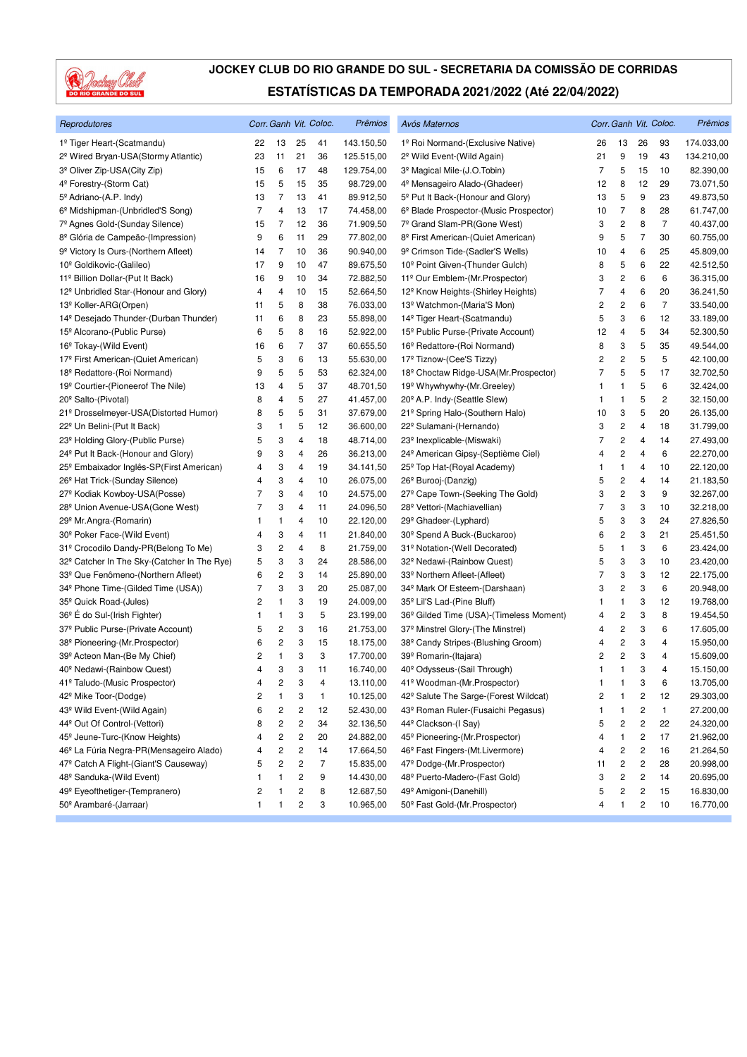

| Reprodutores                                            |                |                         |                         | Corr. Ganh Vit. Coloc. | Prêmios    | Avós Maternos                                       |                |                         |                         | Corr. Ganh Vit. Coloc. | Prêmios    |
|---------------------------------------------------------|----------------|-------------------------|-------------------------|------------------------|------------|-----------------------------------------------------|----------------|-------------------------|-------------------------|------------------------|------------|
| 1º Tiger Heart-(Scatmandu)                              | 22             | 13                      | 25                      | 41                     | 143.150,50 | 1º Roi Normand-(Exclusive Native)                   | 26             | 13                      | 26                      | 93                     | 174.033,00 |
| 2 <sup>º</sup> Wired Bryan-USA(Stormy Atlantic)         | 23             | 11                      | 21                      | 36                     | 125.515,00 | 2 <sup>°</sup> Wild Event-(Wild Again)              | 21             | 9                       | 19                      | 43                     | 134.210,00 |
| 3 <sup>º</sup> Oliver Zip-USA(City Zip)                 | 15             | 6                       | 17                      | 48                     | 129.754,00 | 3 <sup>º</sup> Magical Mile-(J.O.Tobin)             | 7              | 5                       | 15                      | 10                     | 82.390,00  |
| 4º Forestry-(Storm Cat)                                 | 15             | 5                       | 15                      | 35                     | 98.729,00  | 4 <sup>º</sup> Mensageiro Alado-(Ghadeer)           | 12             | 8                       | 12                      | 29                     | 73.071,50  |
| 5 <sup>°</sup> Adriano-(A.P. Indy)                      | 13             | 7                       | 13                      | 41                     | 89.912,50  | 5 <sup>°</sup> Put It Back-(Honour and Glory)       | 13             | 5                       | 9                       | 23                     | 49.873,50  |
| 6 <sup>°</sup> Midshipman-(Unbridled'S Song)            | 7              | 4                       | 13                      | 17                     | 74.458,00  | 6º Blade Prospector-(Music Prospector)              | 10             | $\overline{7}$          | 8                       | 28                     | 61.747,00  |
| 7º Agnes Gold-(Sunday Silence)                          | 15             | 7                       | 12                      | 36                     | 71.909,50  | 7º Grand Slam-PR(Gone West)                         | 3              | $\overline{c}$          | 8                       | $\overline{7}$         | 40.437,00  |
| 8 <sup>º</sup> Glória de Campeão-(Impression)           | 9              | 6                       | 11                      | 29                     | 77.802,00  | 8º First American-(Quiet American)                  | 9              | 5                       | $\overline{7}$          | 30                     | 60.755,00  |
| 9 <sup>º</sup> Victory Is Ours-(Northern Afleet)        | 14             | 7                       | 10                      | 36                     | 90.940,00  | 9 <sup>º</sup> Crimson Tide-(Sadler'S Wells)        | 10             | 4                       | 6                       | 25                     | 45.809,00  |
| 10 <sup>°</sup> Goldikovic-(Galileo)                    | 17             | 9                       | 10                      | 47                     | 89.675,50  | 10 <sup>°</sup> Point Given-(Thunder Gulch)         | 8              | 5                       | 6                       | 22                     | 42.512,50  |
| 11º Billion Dollar-(Put It Back)                        | 16             | 9                       | 10                      | 34                     | 72.882,50  | 11º Our Emblem-(Mr. Prospector)                     | 3              | 2                       | 6                       | 6                      | 36.315,00  |
| 12 <sup>°</sup> Unbridled Star-(Honour and Glory)       | 4              | 4                       | 10                      | 15                     | 52.664,50  | 12 <sup>°</sup> Know Heights-(Shirley Heights)      | 7              | 4                       | 6                       | 20                     | 36.241,50  |
| 13 <sup>º</sup> Koller-ARG(Orpen)                       | 11             | 5                       | 8                       | 38                     | 76.033,00  | 13 <sup>°</sup> Watchmon-(Maria'S Mon)              | 2              | 2                       | 6                       | $\overline{7}$         | 33.540,00  |
| 14 <sup>°</sup> Desejado Thunder-(Durban Thunder)       | 11             | 6                       | 8                       | 23                     | 55.898,00  | 14 <sup>º</sup> Tiger Heart-(Scatmandu)             | 5              | 3                       | 6                       | 12                     | 33.189,00  |
| 15 <sup>°</sup> Alcorano-(Public Purse)                 | 6              | 5                       | 8                       | 16                     | 52.922,00  | 15º Public Purse-(Private Account)                  | 12             | 4                       | 5                       | 34                     | 52.300,50  |
| 16 <sup>°</sup> Tokay-(Wild Event)                      | 16             | 6                       | 7                       | 37                     | 60.655,50  | 16 <sup>°</sup> Redattore-(Roi Normand)             | 8              | 3                       | 5                       | 35                     | 49.544,00  |
| 17º First American-(Quiet American)                     | 5              | 3                       | 6                       | 13                     | 55.630,00  | 17º Tiznow-(Cee'S Tizzy)                            | 2              | $\overline{c}$          | 5                       | 5                      | 42.100,00  |
| 18 <sup>°</sup> Redattore-(Roi Normand)                 | 9              | 5                       | 5                       | 53                     | 62.324,00  | 18º Choctaw Ridge-USA(Mr.Prospector)                | 7              | 5                       | 5                       | 17                     | 32.702,50  |
| 19 <sup>°</sup> Courtier-(Pioneerof The Nile)           | 13             | 4                       | 5                       | 37                     | 48.701,50  | 19 <sup>°</sup> Whywhywhy-(Mr.Greeley)              | 1              | $\mathbf{1}$            | 5                       | 6                      | 32.424,00  |
| 20 <sup>°</sup> Salto-(Pivotal)                         | 8              | 4                       | 5                       | 27                     | 41.457,00  | 20 <sup>°</sup> A.P. Indy-(Seattle Slew)            | 1              | 1                       | 5                       | 2                      | 32.150,00  |
| 21º Drosselmeyer-USA(Distorted Humor)                   | 8              | 5                       | 5                       | 31                     | 37.679,00  | 21º Spring Halo-(Southern Halo)                     | 10             | 3                       | 5                       | 20                     | 26.135,00  |
| 22 <sup>°</sup> Un Belini-(Put It Back)                 | 3              | 1                       | 5                       | 12                     | 36.600,00  | 22º Sulamani-(Hernando)                             | 3              | $\overline{c}$          | 4                       | 18                     | 31.799,00  |
| 23 <sup>°</sup> Holding Glory-(Public Purse)            | 5              | 3                       | 4                       | 18                     | 48.714,00  | 23 <sup>°</sup> Inexplicable-(Miswaki)              | 7              | 2                       | 4                       | 14                     | 27.493,00  |
| 24 <sup>°</sup> Put It Back-(Honour and Glory)          | 9              | 3                       | 4                       | 26                     | 36.213,00  | 24 <sup>°</sup> American Gipsy-(Septième Ciel)      | 4              | 2                       | 4                       | 6                      | 22.270,00  |
| 25 <sup>°</sup> Embaixador Inglês-SP(First American)    | 4              | 3                       | 4                       | 19                     | 34.141,50  | 25 <sup>°</sup> Top Hat-(Royal Academy)             | 1              | 1                       | 4                       | 10                     | 22.120,00  |
| 26 <sup>°</sup> Hat Trick-(Sunday Silence)              | 4              | 3                       | 4                       | 10                     | 26.075,00  | 26 <sup>°</sup> Burooj-(Danzig)                     | 5              | $\overline{c}$          | 4                       | 14                     | 21.183,50  |
| 27º Kodiak Kowboy-USA(Posse)                            | 7              | 3                       | 4                       | 10                     | 24.575,00  | 27º Cape Town-(Seeking The Gold)                    | 3              | $\overline{\mathbf{c}}$ | 3                       | 9                      | 32.267,00  |
| 28 <sup>°</sup> Union Avenue-USA(Gone West)             | 7              | 3                       | 4                       | 11                     | 24.096,50  | 28 <sup>°</sup> Vettori-(Machiavellian)             | $\overline{7}$ | 3                       | 3                       | 10                     | 32.218,00  |
| 29 <sup>°</sup> Mr.Angra-(Romarin)                      | 1              | 1                       | 4                       | 10                     | 22.120,00  | 29 <sup>°</sup> Ghadeer-(Lyphard)                   | 5              | 3                       | 3                       | 24                     | 27.826,50  |
| 30 <sup>°</sup> Poker Face-(Wild Event)                 | 4              | 3                       | 4                       | 11                     | 21.840,00  | 30 <sup>°</sup> Spend A Buck-(Buckaroo)             | 6              | 2                       | 3                       | 21                     | 25.451,50  |
| 31º Crocodilo Dandy-PR(Belong To Me)                    | 3              | $\overline{\mathbf{c}}$ | 4                       | 8                      | 21.759,00  | 31º Notation-(Well Decorated)                       | 5              | $\mathbf{1}$            | 3                       | 6                      | 23.424,00  |
| 32 <sup>°</sup> Catcher In The Sky-(Catcher In The Rye) | 5              | 3                       | 3                       | 24                     | 28.586,00  | 32 <sup>°</sup> Nedawi-(Rainbow Quest)              | 5              | 3                       | 3                       | 10                     | 23.420,00  |
| 33º Que Fenômeno-(Northern Afleet)                      | 6              | 2                       | 3                       | 14                     | 25.890,00  | 33º Northern Afleet-(Afleet)                        | 7              | 3                       | 3                       | 12                     | 22.175,00  |
| 34 <sup>°</sup> Phone Time-(Gilded Time (USA))          | 7              | 3                       | 3                       | 20                     | 25.087,00  | 34 <sup>°</sup> Mark Of Esteem-(Darshaan)           | 3              | 2                       | 3                       | 6                      | 20.948,00  |
| 35 <sup>°</sup> Quick Road-(Jules)                      | 2              | 1                       | 3                       | 19                     | 24.009,00  | 35 <sup>°</sup> Lil'S Lad-(Pine Bluff)              | 1              | 1                       | 3                       | 12                     | 19.768,00  |
| 36 <sup>°</sup> E do Sul-(Irish Fighter)                | 1              | 1                       | 3                       | 5                      | 23.199,00  | 36 <sup>°</sup> Gilded Time (USA)-(Timeless Moment) | 4              | 2                       | 3                       | 8                      | 19.454,50  |
| 37º Public Purse-(Private Account)                      | 5              | 2                       | 3                       | 16                     | 21.753,00  | 37º Minstrel Glory-(The Minstrel)                   | 4              | 2                       | 3                       | 6                      | 17.605,00  |
| 38 <sup>°</sup> Pioneering-(Mr.Prospector)              | 6              | 2                       | 3                       | 15                     | 18.175,00  | 38 <sup>°</sup> Candy Stripes-(Blushing Groom)      | 4              | $\overline{\mathbf{c}}$ | 3                       | 4                      | 15.950,00  |
| 39º Acteon Man-(Be My Chief)                            | 2              | 1                       | 3                       | 3                      | 17.700,00  | 39º Romarin-(Itajara)                               | 2              | 2                       | 3                       | 4                      | 15.609,00  |
| 40 <sup>°</sup> Nedawi-(Rainbow Quest)                  | $\overline{4}$ | 3                       | 3                       | 11                     | 16.740,00  | 40 <sup>°</sup> Odysseus-(Sail Through)             | 1              | $\mathbf{1}$            | 3                       | 4                      | 15.150,00  |
| 41º Taludo-(Music Prospector)                           | 4              | 2                       | 3                       | 4                      | 13.110,00  | 41º Woodman-(Mr.Prospector)                         | 1              | 1                       | 3                       | 6                      | 13.705,00  |
| 42º Mike Toor-(Dodge)                                   | 2              | 1                       | 3                       | $\mathbf{1}$           | 10.125,00  | 42 <sup>°</sup> Salute The Sarge-(Forest Wildcat)   | 2              | 1                       | 2                       | 12                     | 29.303,00  |
| 43º Wild Event-(Wild Again)                             | 6              | 2                       | 2                       | 12                     | 52.430,00  | 43 <sup>°</sup> Roman Ruler-(Fusaichi Pegasus)      | 1              | 1                       | $\overline{\mathbf{c}}$ | 1                      | 27.200,00  |
| 44º Out Of Control-(Vettori)                            | 8              | 2                       | 2                       | 34                     | 32.136,50  | 44 <sup>°</sup> Clackson-(I Say)                    | 5              | $\overline{\mathbf{c}}$ | $\overline{\mathbf{c}}$ | 22                     | 24.320,00  |
| 45 <sup>°</sup> Jeune-Turc-(Know Heights)               | 4              | 2                       | $\overline{\mathbf{c}}$ | 20                     | 24.882,00  | 45 <sup>°</sup> Pioneering-(Mr.Prospector)          | 4              | $\mathbf{1}$            | $\boldsymbol{2}$        | 17                     | 21.962,00  |
| 46 <sup>°</sup> La Fúria Negra-PR(Mensageiro Alado)     | 4              | 2                       | $\overline{\mathbf{c}}$ | 14                     | 17.664,50  | 46 <sup>°</sup> Fast Fingers-(Mt.Livermore)         | 4              | $\overline{\mathbf{c}}$ | $\boldsymbol{2}$        | 16                     | 21.264,50  |
| 47º Catch A Flight-(Giant'S Causeway)                   | 5              | 2                       | 2                       | $\overline{7}$         | 15.835,00  | 47º Dodge-(Mr.Prospector)                           | 11             | $\overline{\mathbf{c}}$ | $\overline{\mathbf{c}}$ | 28                     | 20.998,00  |
| 48 <sup>°</sup> Sanduka-(Wild Event)                    | 1              | 1                       | $\overline{\mathbf{c}}$ | 9                      | 14.430,00  | 48 <sup>°</sup> Puerto-Madero-(Fast Gold)           | 3              | 2                       | $\overline{\mathbf{c}}$ | 14                     | 20.695,00  |
| 49º Eyeofthetiger-(Tempranero)                          | 2              |                         | 2                       | 8                      | 12.687,50  | 49º Amigoni-(Danehill)                              | 5              | 2                       | 2                       | 15                     | 16.830,00  |
| 50º Arambaré-(Jarraar)                                  | 1              | 1                       | $\overline{\mathbf{c}}$ | 3                      | 10.965,00  | 50 <sup>°</sup> Fast Gold-(Mr.Prospector)           | 4              | 1                       | 2                       | 10                     | 16.770,00  |
|                                                         |                |                         |                         |                        |            |                                                     |                |                         |                         |                        |            |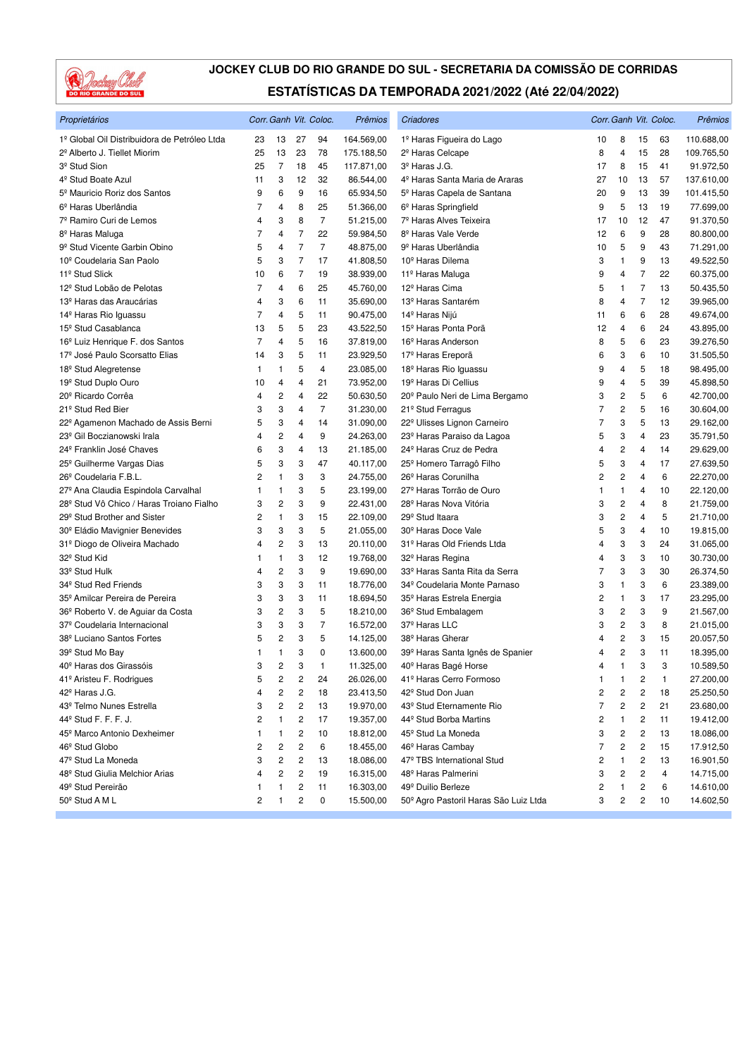

| Proprietários                                 |    |                         |                         | Corr. Ganh Vit. Coloc. | Prêmios    | <b>Criadores</b>                           |                |                         |                | Corr. Ganh Vit. Coloc. | Prêmios    |
|-----------------------------------------------|----|-------------------------|-------------------------|------------------------|------------|--------------------------------------------|----------------|-------------------------|----------------|------------------------|------------|
| 1º Global Oil Distribuidora de Petróleo Ltda  | 23 | 13                      | 27                      | 94                     | 164.569,00 | 1º Haras Figueira do Lago                  | 10             | 8                       | 15             | 63                     | 110.688,00 |
| 2º Alberto J. Tiellet Miorim                  | 25 | 13                      | 23                      | 78                     | 175.188,50 | 2º Haras Celcape                           | 8              | 4                       | 15             | 28                     | 109.765,50 |
| 3 <sup>º</sup> Stud Sion                      | 25 | $\overline{7}$          | 18                      | 45                     | 117.871,00 | 3º Haras J.G.                              | 17             | 8                       | 15             | 41                     | 91.972,50  |
| 4 <sup>°</sup> Stud Boate Azul                | 11 | 3                       | 12                      | 32                     | 86.544,00  | 4º Haras Santa Maria de Araras             | 27             | 10                      | 13             | 57                     | 137.610,00 |
| 5 <sup>º</sup> Mauricio Roriz dos Santos      | 9  | 6                       | 9                       | 16                     | 65.934,50  | 5º Haras Capela de Santana                 | 20             | 9                       | 13             | 39                     | 101.415,50 |
| 6 <sup>º</sup> Haras Uberlândia               | 7  | 4                       | 8                       | 25                     | 51.366,00  | 6 <sup>°</sup> Haras Springfield           | 9              | 5                       | 13             | 19                     | 77.699,00  |
| 7º Ramiro Curi de Lemos                       | 4  | 3                       | 8                       | $\overline{7}$         | 51.215,00  | 7º Haras Alves Teixeira                    | 17             | 10                      | 12             | 47                     | 91.370,50  |
| 8 <sup>º</sup> Haras Maluga                   | 7  | 4                       | $\overline{7}$          | 22                     | 59.984,50  | 8 <sup>º</sup> Haras Vale Verde            | 12             | 6                       | 9              | 28                     | 80.800,00  |
| 9 <sup>º</sup> Stud Vicente Garbin Obino      | 5  | 4                       | $\overline{7}$          | $\overline{7}$         | 48.875,00  | 9 <sup>º</sup> Haras Uberlândia            | 10             | 5                       | 9              | 43                     | 71.291,00  |
| 10 <sup>°</sup> Coudelaria San Paolo          | 5  | 3                       | $\overline{7}$          | 17                     | 41.808,50  | 10 <sup>°</sup> Haras Dilema               | 3              | 1                       | 9              | 13                     | 49.522,50  |
| 11 <sup>º</sup> Stud Slick                    | 10 | 6                       | $\overline{7}$          | 19                     | 38.939,00  | 11 <sup>º</sup> Haras Maluga               | 9              | 4                       | 7              | 22                     | 60.375,00  |
| 12 <sup>º</sup> Stud Lobão de Pelotas         | 7  | 4                       | 6                       | 25                     | 45.760,00  | 12 <sup>º</sup> Haras Cima                 | 5              | 1                       | $\overline{7}$ | 13                     | 50.435,50  |
| 13 <sup>º</sup> Haras das Araucárias          | 4  | 3                       | 6                       | 11                     | 35.690,00  | 13 <sup>º</sup> Haras Santarém             | 8              | 4                       | 7              | 12                     | 39.965,00  |
| 14 <sup>º</sup> Haras Rio Iguassu             | 7  | 4                       | 5                       | 11                     | 90.475,00  | 14º Haras Nijú                             | 11             | 6                       | 6              | 28                     | 49.674,00  |
| 15 <sup>°</sup> Stud Casablanca               | 13 | 5                       | 5                       | 23                     | 43.522,50  | 15 <sup>º</sup> Haras Ponta Porã           | 12             | 4                       | 6              | 24                     | 43.895,00  |
| 16 <sup>°</sup> Luiz Henrique F. dos Santos   | 7  | $\overline{4}$          | 5                       | 16                     | 37.819,00  | 16 <sup>°</sup> Haras Anderson             | 8              | 5                       | 6              | 23                     | 39.276,50  |
| 17 <sup>º</sup> José Paulo Scorsatto Elias    | 14 | 3                       | 5                       | 11                     | 23.929,50  | 17 <sup>º</sup> Haras Ereporã              | 6              | 3                       | 6              | 10                     | 31.505,50  |
| 18 <sup>°</sup> Stud Alegretense              | 1  | $\mathbf{1}$            | 5                       | 4                      | 23.085,00  | 18 <sup>°</sup> Haras Rio Iguassu          | 9              | 4                       | 5              | 18                     | 98.495,00  |
| 19 <sup>°</sup> Stud Duplo Ouro               | 10 | 4                       | 4                       | 21                     | 73.952,00  | 19 <sup>º</sup> Haras Di Cellius           | 9              | 4                       | 5              | 39                     | 45.898,50  |
| 20 <sup>°</sup> Ricardo Corrêa                | 4  | $\overline{c}$          | 4                       | 22                     | 50.630,50  | 20 <sup>°</sup> Paulo Neri de Lima Bergamo | 3              | $\overline{\mathbf{c}}$ | 5              | 6                      | 42.700,00  |
| 21 <sup>°</sup> Stud Red Bier                 | 3  | 3                       | 4                       | $\overline{7}$         | 31.230,00  | 21 <sup>°</sup> Stud Ferragus              | $\overline{7}$ | 2                       | 5              | 16                     | 30.604,00  |
| 22º Agamenon Machado de Assis Berni           | 5  | 3                       | 4                       | 14                     | 31.090,00  | 22º Ulisses Lignon Carneiro                | $\overline{7}$ | 3                       | 5              | 13                     | 29.162,00  |
| 23 <sup>°</sup> Gil Boczianowski Irala        | 4  | 2                       | $\overline{4}$          | 9                      | 24.263,00  | 23º Haras Paraiso da Lagoa                 | 5              | 3                       | 4              | 23                     | 35.791,50  |
| 24 <sup>°</sup> Franklin José Chaves          | 6  | 3                       | 4                       | 13                     | 21.185,00  | 24 <sup>°</sup> Haras Cruz de Pedra        | 4              | 2                       | 4              | 14                     | 29.629,00  |
| 25 <sup>°</sup> Guilherme Vargas Dias         | 5  | 3                       | 3                       | 47                     | 40.117,00  | 25 <sup>°</sup> Homero Tarragô Filho       | 5              | 3                       | $\overline{4}$ | 17                     | 27.639,50  |
| 26 <sup>°</sup> Coudelaria F.B.L.             | 2  | 1                       | 3                       | 3                      | 24.755,00  | 26 <sup>°</sup> Haras Corunilha            | 2              | $\overline{\mathbf{c}}$ | 4              | 6                      | 22.270,00  |
| 27º Ana Claudia Espindola Carvalhal           | 1  | 1                       | 3                       | 5                      | 23.199,00  | 27 <sup>º</sup> Haras Torrão de Ouro       | $\mathbf{1}$   | 1                       | 4              | 10                     | 22.120,00  |
| 28º Stud Vô Chico / Haras Troiano Fialho      | 3  | 2                       | 3                       | 9                      | 22.431,00  | 28º Haras Nova Vitória                     | 3              | $\overline{\mathbf{c}}$ | 4              | 8                      | 21.759,00  |
| 29 <sup>°</sup> Stud Brother and Sister       | 2  | $\mathbf{1}$            | 3                       | 15                     | 22.109,00  | 29 <sup>°</sup> Stud Itaara                | 3              | 2                       | 4              | 5                      | 21.710,00  |
| 30 <sup>°</sup> Eládio Mavignier Benevides    | 3  | 3                       | 3                       | 5                      | 21.055,00  | 30 <sup>°</sup> Haras Doce Vale            | 5              | 3                       | 4              | 10                     | 19.815,00  |
| 31º Diogo de Oliveira Machado                 | 4  | 2                       | 3                       | 13                     | 20.110,00  | 31º Haras Old Friends Ltda                 | 4              | 3                       | 3              | 24                     | 31.065,00  |
| 32 <sup>°</sup> Stud Kid                      | 1  | 1                       | 3                       | 12                     | 19.768,00  | 32 <sup>°</sup> Haras Regina               | 4              | 3                       | 3              | 10                     | 30.730,00  |
| 33º Stud Hulk                                 | 4  | $\overline{\mathbf{c}}$ | 3                       | 9                      | 19.690,00  | 33º Haras Santa Rita da Serra              | 7              | 3                       | 3              | 30                     | 26.374,50  |
| 34 <sup>°</sup> Stud Red Friends              | 3  | 3                       | 3                       | 11                     | 18.776,00  | 34º Coudelaria Monte Parnaso               | 3              | 1                       | 3              | 6                      | 23.389,00  |
| 35 <sup>°</sup> Amilcar Pereira de Pereira    | 3  | 3                       | 3                       | 11                     | 18.694,50  | 35 <sup>°</sup> Haras Estrela Energia      | 2              | 1                       | 3              | 17                     | 23.295,00  |
| 36 <sup>°</sup> Roberto V. de Aguiar da Costa | 3  | 2                       | 3                       | 5                      | 18.210,00  | 36 <sup>°</sup> Stud Embalagem             | 3              | 2                       | 3              | 9                      | 21.567,00  |
| 37 <sup>º</sup> Coudelaria Internacional      | 3  | 3                       | 3                       | 7                      | 16.572,00  | 37º Haras LLC                              | 3              | 2                       | 3              | 8                      | 21.015,00  |
| 38 <sup>º</sup> Luciano Santos Fortes         | 5  | 2                       | 3                       | 5                      | 14.125,00  | 38 <sup>°</sup> Haras Gherar               | 4              | $\overline{c}$          | 3              | 15                     | 20.057,50  |
| 39º Stud Mo Bay                               | 1  | 1                       | 3                       | 0                      | 13.600,00  | 39º Haras Santa Ignês de Spanier           | 4              | 2                       | 3              | 11                     | 18.395,00  |
| 40 <sup>°</sup> Haras dos Girassóis           | 3  | 2                       | 3                       | 1                      | 11.325,00  | 40º Haras Bagé Horse                       | 4              | $\mathbf{1}$            | 3              | 3                      | 10.589,50  |
| 41º Aristeu F. Rodrigues                      | 5  | 2                       | 2                       | 24                     | 26.026,00  | 41º Haras Cerro Formoso                    | $\mathbf{1}$   | 1                       | 2              | 1                      | 27.200,00  |
| 42 <sup>°</sup> Haras J.G.                    | 4  | 2                       | $\overline{\mathbf{c}}$ | 18                     | 23.413,50  | 42 <sup>º</sup> Stud Don Juan              | 2              | 2                       | 2              | 18                     | 25.250,50  |
| 43º Telmo Nunes Estrella                      | 3  | 2                       | $\overline{\mathbf{c}}$ | 13                     | 19.970,00  | 43º Stud Eternamente Rio                   | 7              | 2                       | 2              | 21                     | 23.680,00  |
| 44 <sup>°</sup> Stud F. F. F. J.              | 2  | 1                       | $\sqrt{2}$              | 17                     | 19.357,00  | 44 <sup>°</sup> Stud Borba Martins         | 2              | 1                       | 2              | 11                     | 19.412,00  |
| 45 <sup>°</sup> Marco Antonio Dexheimer       | 1  | 1                       | $\mathbf 2$             | 10                     | 18.812,00  | 45º Stud La Moneda                         | 3              | 2                       | 2              | 13                     | 18.086,00  |
| 46 <sup>°</sup> Stud Globo                    | 2  | $\overline{\mathbf{c}}$ | $\overline{\mathbf{c}}$ | 6                      | 18.455,00  | 46 <sup>°</sup> Haras Cambay               | 7              | 2                       | 2              | 15                     | 17.912,50  |
| 47 <sup>º</sup> Stud La Moneda                | 3  | 2                       | 2                       | 13                     | 18.086,00  | 47º TBS International Stud                 | 2              | 1                       | 2              | 13                     | 16.901,50  |
| 48º Stud Giulia Melchior Arias                | 4  | 2                       | $\overline{\mathbf{c}}$ | 19                     | 16.315,00  | 48º Haras Palmerini                        | 3              | 2                       | 2              | 4                      | 14.715,00  |
| 49º Stud Pereirão                             | 1  | $\mathbf{1}$            | $\overline{\mathbf{c}}$ | 11                     | 16.303,00  | 49º Duilio Berleze                         | 2              | 1                       | 2              | 6                      | 14.610,00  |
| 50 <sup>°</sup> Stud A M L                    | 2  | 1                       | $\overline{\mathbf{c}}$ | 0                      | 15.500,00  | 50º Agro Pastoril Haras São Luiz Ltda      | 3              | 2                       | 2              | 10                     | 14.602,50  |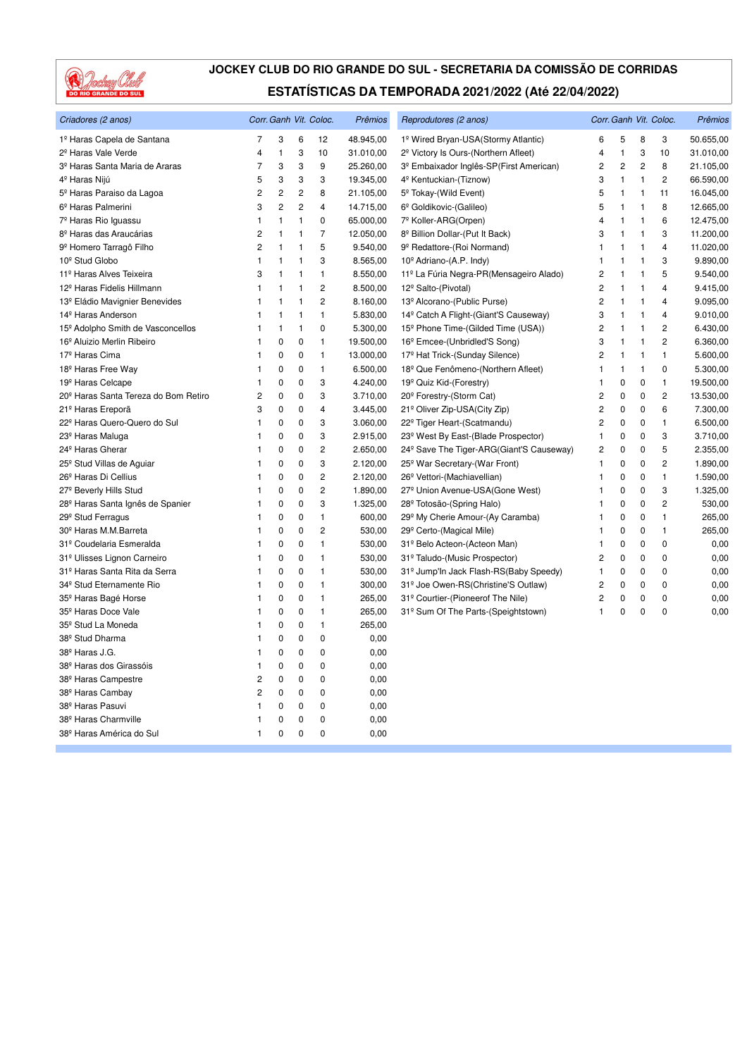

| Criadores (2 anos)                               |                | Corr. Ganh Vit. Coloc. |                |                | Prêmios   | Reprodutores (2 anos)                                |                         | Corr. Ganh Vit. Coloc.  | Prêmios      |                |           |
|--------------------------------------------------|----------------|------------------------|----------------|----------------|-----------|------------------------------------------------------|-------------------------|-------------------------|--------------|----------------|-----------|
| 1º Haras Capela de Santana                       | 7              | 3                      | 6              | 12             | 48.945,00 | 1º Wired Bryan-USA(Stormy Atlantic)                  | 6                       | 5                       | 8            | 3              | 50.655,00 |
| 2 <sup>º</sup> Haras Vale Verde                  | 4              | $\mathbf{1}$           | 3              | 10             | 31.010,00 | 2 <sup>º</sup> Victory Is Ours-(Northern Afleet)     | $\overline{4}$          | $\mathbf{1}$            | 3            | 10             | 31.010,00 |
| 3 <sup>º</sup> Haras Santa Maria de Araras       | 7              | 3                      | 3              | 9              | 25.260,00 | 3º Embaixador Inglês-SP(First American)              |                         | $\overline{\mathbf{c}}$ | 2            | 8              | 21.105,00 |
| 4 <sup>º</sup> Haras Nijú                        | 5              | 3                      | 3              | 3              | 19.345,00 | 4º Kentuckian-(Tiznow)                               |                         | 1                       | $\mathbf{1}$ | $\mathbf{2}$   | 66.590,00 |
| 5º Haras Paraiso da Lagoa                        | 2              | $\overline{c}$         | $\overline{c}$ | 8              | 21.105,00 | 5 <sup>°</sup> Tokay-(Wild Event)                    | 5                       | 1                       | 1            | 11             | 16.045,00 |
| 6 <sup>º</sup> Haras Palmerini                   | 3              | $\overline{c}$         | $\overline{c}$ | $\overline{4}$ | 14.715,00 | 6º Goldikovic-(Galileo)                              | 5                       | 1                       | 1            | 8              | 12.665,00 |
| 7º Haras Rio Iguassu                             | 1              | $\mathbf{1}$           | $\mathbf{1}$   | 0              | 65.000,00 | 7º Koller-ARG(Orpen)                                 | 4                       | 1                       | $\mathbf{1}$ | 6              | 12.475,00 |
| 8 <sup>º</sup> Haras das Araucárias              | $\overline{c}$ | $\mathbf{1}$           | $\overline{1}$ | 7              | 12.050,00 | 8º Billion Dollar-(Put It Back)                      | 3                       | 1                       | -1           | 3              | 11.200,00 |
| 9 <sup>º</sup> Homero Tarragô Filho              | $\overline{c}$ | $\mathbf{1}$           | $\mathbf{1}$   | 5              | 9.540,00  | 9º Redattore-(Roi Normand)                           | $\mathbf{1}$            | 1                       | $\mathbf{1}$ | $\overline{4}$ | 11.020,00 |
| 10 <sup>°</sup> Stud Globo                       | 1              | $\mathbf{1}$           | $\mathbf{1}$   | 3              | 8.565,00  | 10 <sup>°</sup> Adriano-(A.P. Indy)                  | $\mathbf{1}$            | 1                       | $\mathbf{1}$ | 3              | 9.890,00  |
| 11 <sup>º</sup> Haras Alves Teixeira             | 3              | $\mathbf{1}$           | $\mathbf{1}$   | $\mathbf{1}$   | 8.550,00  | 11º La Fúria Negra-PR(Mensageiro Alado)              | 2                       | 1                       | 1            | 5              | 9.540,00  |
| 12 <sup>º</sup> Haras Fidelis Hillmann           | 1              | $\mathbf{1}$           | $\mathbf{1}$   | $\overline{c}$ | 8.500,00  | 12 <sup>°</sup> Salto-(Pivotal)                      | $\overline{\mathbf{c}}$ | 1                       | 1            | $\overline{4}$ | 9.415,00  |
| 13 <sup>º</sup> Eládio Mavignier Benevides       | 1              | $\mathbf{1}$           | 1              | $\overline{2}$ | 8.160,00  | 13º Alcorano-(Public Purse)                          | $\overline{c}$          | 1                       | $\mathbf{1}$ | 4              | 9.095,00  |
| 14 <sup>º</sup> Haras Anderson                   | 1              | $\mathbf{1}$           | $\mathbf{1}$   | 1              | 5.830,00  | 14 <sup>°</sup> Catch A Flight-(Giant'S Causeway)    | 3                       | 1                       | $\mathbf{1}$ | $\overline{4}$ | 9.010,00  |
| 15 <sup>°</sup> Adolpho Smith de Vasconcellos    | 1              | $\mathbf{1}$           | $\mathbf{1}$   | 0              | 5.300,00  | 15 <sup>°</sup> Phone Time-(Gilded Time (USA))       | $\overline{c}$          | 1                       | $\mathbf{1}$ | $\overline{2}$ | 6.430,00  |
| 16 <sup>º</sup> Aluizio Merlin Ribeiro           | 1              | 0                      | 0              | 1              | 19.500,00 | 16 <sup>°</sup> Emcee-(Unbridled'S Song)             | 3                       | 1                       | 1            | $\overline{2}$ | 6.360,00  |
| 17 <sup>º</sup> Haras Cima                       | 1              | 0                      | 0              | 1              | 13.000,00 | 17º Hat Trick-(Sunday Silence)                       | $\overline{c}$          | 1                       | $\mathbf{1}$ | $\mathbf{1}$   | 5.600,00  |
| 18 <sup>º</sup> Haras Free Way                   | 1              | 0                      | 0              | 1              | 6.500,00  | 18º Que Fenômeno-(Northern Afleet)                   | 1                       | 1                       | 1            | $\mathbf 0$    | 5.300,00  |
| 19 <sup>º</sup> Haras Celcape                    | 1              | 0                      | 0              | 3              | 4.240,00  | 19 <sup>°</sup> Quiz Kid-(Forestry)                  | 1                       | 0                       | $\mathbf 0$  | $\mathbf{1}$   | 19.500,00 |
| 20 <sup>°</sup> Haras Santa Tereza do Bom Retiro | 2              | 0                      | $\pmb{0}$      | 3              | 3.710,00  | 20 <sup>°</sup> Forestry-(Storm Cat)                 | $\overline{c}$          | 0                       | $\mathbf 0$  | $\overline{c}$ | 13.530,00 |
| 21 <sup>º</sup> Haras Ereporã                    | 3              | $\mathbf 0$            | 0              | 4              | 3.445,00  | 21º Oliver Zip-USA(City Zip)                         | $\overline{c}$          | 0                       | 0            | 6              | 7.300,00  |
| 22º Haras Quero-Quero do Sul                     | 1              | $\pmb{0}$              | 0              | 3              | 3.060,00  | 22 <sup>°</sup> Tiger Heart-(Scatmandu)              | 2                       | 0                       | $\mathbf 0$  | $\mathbf{1}$   | 6.500,00  |
| 23 <sup>°</sup> Haras Maluga                     |                | 0                      | 0              | 3              | 2.915,00  | 23º West By East-(Blade Prospector)                  | 1                       | 0                       | 0            | 3              | 3.710,00  |
| 24 <sup>°</sup> Haras Gherar                     | 1              | 0                      | 0              | 2              | 2.650,00  | 24 <sup>°</sup> Save The Tiger-ARG(Giant'S Causeway) | $\overline{c}$          | 0                       | $\mathbf 0$  | 5              | 2.355,00  |
| 25 <sup>°</sup> Stud Villas de Aguiar            | 1              | 0                      | $\pmb{0}$      | 3              | 2.120,00  | 25 <sup>°</sup> War Secretary-(War Front)            | 1                       | 0                       | $\mathbf 0$  | $\overline{c}$ | 1.890,00  |
| 26 <sup>°</sup> Haras Di Cellius                 | 1              | 0                      | 0              | $\overline{c}$ | 2.120,00  | 26 <sup>°</sup> Vettori-(Machiavellian)              | 1                       | $\mathbf 0$             | 0            | $\mathbf{1}$   | 1.590,00  |
| 27 <sup>°</sup> Beverly Hills Stud               | 1              | $\pmb{0}$              | 0              | 2              | 1.890,00  | 27 <sup>°</sup> Union Avenue-USA(Gone West)          | 1                       | 0                       | $\mathbf 0$  | 3              | 1.325,00  |
| 28 <sup>°</sup> Haras Santa Ignês de Spanier     | 1              | 0                      | 0              | 3              | 1.325,00  | 28º Totosão-(Spring Halo)                            | 1                       | 0                       | 0            | $\overline{c}$ | 530,00    |
| 29 <sup>°</sup> Stud Ferragus                    | 1              | 0                      | 0              | 1              | 600,00    | 29º My Cherie Amour-(Ay Caramba)                     | 1                       | 0                       | $\mathbf 0$  | $\mathbf{1}$   | 265,00    |
| 30 <sup>°</sup> Haras M.M.Barreta                | 1              | 0                      | $\pmb{0}$      | $\overline{c}$ | 530,00    | 29º Certo-(Magical Mile)                             | 1                       | 0                       | $\mathbf 0$  | $\mathbf{1}$   | 265,00    |
| 31º Coudelaria Esmeralda                         | 1              | 0                      | 0              | 1              | 530,00    | 31º Belo Acteon-(Acteon Man)                         | 1                       | 0                       | $\mathbf 0$  | $\mathbf 0$    | 0,00      |
| 31º Ulisses Lignon Carneiro                      | 1              | $\mathbf 0$            | 0              | 1              | 530,00    | 31º Taludo-(Music Prospector)                        | $\overline{c}$          | 0                       | 0            | $\mathbf 0$    | 0,00      |
| 31º Haras Santa Rita da Serra                    | 1              | 0                      | 0              | 1              | 530,00    | 31º Jump'In Jack Flash-RS(Baby Speedy)               | $\mathbf{1}$            | 0                       | 0            | $\mathbf 0$    | 0,00      |
| 34 <sup>°</sup> Stud Eternamente Rio             | 1              | 0                      | 0              | 1              | 300,00    | 31º Joe Owen-RS(Christine'S Outlaw)                  | $\overline{c}$          | 0                       | $\mathbf 0$  | $\pmb{0}$      | 0,00      |
| 35 <sup>°</sup> Haras Bagé Horse                 | 1              | 0                      | 0              | 1              | 265,00    | 31º Courtier-(Pioneerof The Nile)                    | $\overline{c}$          | 0                       | 0            | $\mathbf 0$    | 0,00      |
| 35 <sup>°</sup> Haras Doce Vale                  | 1              | $\pmb{0}$              | $\mathbf 0$    | 1              | 265,00    | 31º Sum Of The Parts-(Speightstown)                  | 1                       | 0                       | 0            | $\mathbf 0$    | 0,00      |
| 35 <sup>°</sup> Stud La Moneda                   | 1              | 0                      | 0              | 1              | 265,00    |                                                      |                         |                         |              |                |           |
| 38 <sup>°</sup> Stud Dharma                      | 1              | 0                      | $\pmb{0}$      | 0              | 0,00      |                                                      |                         |                         |              |                |           |
| 38º Haras J.G.                                   |                | 0                      | 0              | $\mathbf 0$    | 0,00      |                                                      |                         |                         |              |                |           |
| 38 <sup>°</sup> Haras dos Girassóis              | 1              | 0                      | 0              | 0              | 0,00      |                                                      |                         |                         |              |                |           |
| 38 <sup>º</sup> Haras Campestre                  | 2              | $\mathbf 0$            | $\pmb{0}$      | 0              | 0,00      |                                                      |                         |                         |              |                |           |
| 38 <sup>°</sup> Haras Cambay                     | 2              | 0                      | 0              | 0              | 0,00      |                                                      |                         |                         |              |                |           |
| 38 <sup>°</sup> Haras Pasuvi                     | 1              | 0                      | 0              | 0              | 0,00      |                                                      |                         |                         |              |                |           |
| 38 <sup>°</sup> Haras Charmville                 | 1              | 0                      | 0              | 0              | 0,00      |                                                      |                         |                         |              |                |           |
| 38 <sup>º</sup> Haras América do Sul             | 1              | $\mathbf 0$            | $\mathbf 0$    | $\mathbf 0$    | 0,00      |                                                      |                         |                         |              |                |           |